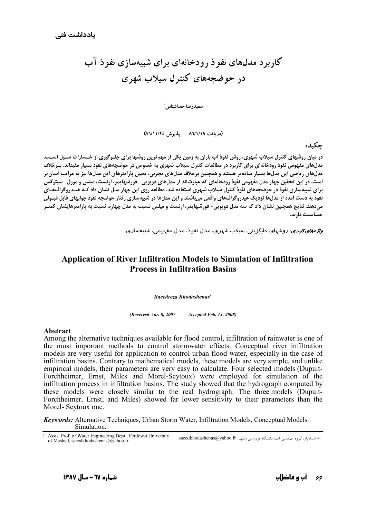## کاربر د مدلهای نفو ذ رو دخانهای برای شبیهسازی نفو ذ آب در حوضحههای کنترل سیلاب شهری

سعيدرضا خداشناس '

(دریافت ۸٦/١/١٩ پذیرش ٨٦/١١/٢٤)

## حكىدە

در میان روشهای کنترل سیلاب شهری، روش نفوذ آب باران به زمین یکی از مهم¤رین روشها برای جلـوگیری از خـسارات سـیل اسـت. مدلهای مفهومی نفوذ رودخانهای برای کاربرد در مطالعات کنترل سیلاب شهری به خصوص در حوضچههای نفوذ بسیار مفیداند. بـرخلاف مدلهای ریاضی این مدلها بسیار سادهتر هستند و همچنین برخلاف مدلهای تجربی، تعیین پارامترهای این مدلها نیز به مراتب أسان تر است. در این تحقیق چهار مدل مفهومی نفوذ رودخانهای که عبارتاند از مدلهای دویویی- فورشهایمر، ارنست، میلس و مورل- سیتوکس برای شبیهسازی نفوذ در حوضچههای نفوذ کنترل سیلاب شهری استفاده شد. مطالعه روی این چهار مدل نشان داد کـه هیـدروگراف&ای نفوذ به دست آمده از مدلها نزدیک هیدروگرافهای واقعی میباشند و این مدلها در شبیهسازی رفتار حوضچه نفوذ جوابهای قابل قبـولی میدهند. نتایج همچنین نشان داد که سه مدل دوپویی- فورشهایمر، ارنست و میلس نسبت به مدل چهارم نسبت به پارامترهایشان کمتـر حساسىت دارند.

*واژههای کلیدی*: *د*وشهای جایگزینی، سیلاب شهری، مدل نفوذ، مدل مفهومی، شبیهسازی.

## **Application of River Infiltration Models to Simulation of Infiltration Process in Infiltration Basins**

Saeedreza Khodashenas<sup>1</sup>

(Received Apr. 8, 2007 **Accepted Feb. 13, 2008)** 

## Abstract

Among the alternative techniques available for flood control, infiltration of rainwater is one of the most important methods to control stormwater effects. Conceptual river infiltration models are very useful for application to control urban flood water, especially in the case of infiltration basins. Contrary to mathematical models, these models are very simple, and unlike empirical models, their parameters are very easy to calculate. Four selected models (Dupuit-Forchheimer, Ernst, Miles and Morel-Seytoux) were employed for simulation of the infiltration process in infiltration basins. The study showed that the hydrograph computed by these models were closely similar to the real hydrograph. The three models (Dupuit-Forchheimer, Ernst, and Miles) showed far lower sensitivity to their parameters than the Morel-Seytoux one.

**Keywords:** Alternative Techniques, Urban Storm Water, Infiltration Models, Conceptual Models. Simulation.

<sup>1.</sup> Assis. Prof. of Water Engineering Dept., Ferdowsi University ۱- استادیار، گروه مهندسی آب، دانشگاه فردوسی مشهد، saeedkhodashenas@yahoo.fr of Mashad, saeedkhodashenas@yahoo.fi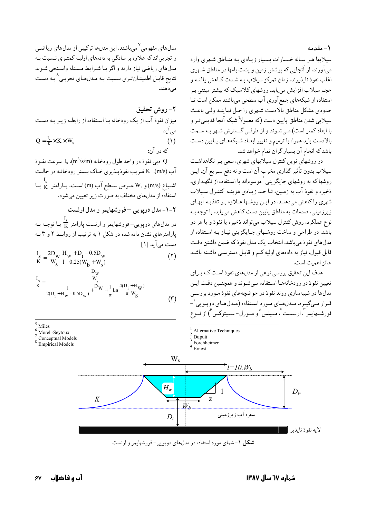۱ – مقدمه

سیلابها هـر سـاله خـسارات بـسیار زیـادی بـه منـاطق شـهری وارد می آورند. از آنجایی که پوشش زمین و پشت بامها در مناطق شـهری اغلب نفوذ نايذيرند، زمان تمركز سيلاب بـه شـدت كـاهش يافتـه و حجم سیلاب افزایش می یابد. روشهای کلاسیک که بیشتر مبتنی بـر استفاده از شبکههای جمع آوری آب سطحی میباشند ممکن است تـا حدودي مشكل مناطق بالادست شهري را حـل نماينـد ولـي باعـث سيلابي شدن مناطق پايين دست (كه معمولاً شبكه آنجا قديمي تـر و با ابعاد کمتر است) مبی شوند و از طرفبی گسترش شهر بـه سـمت بالادست بايد همراه با ترميم و تغيير ابعـاد شـبكههـاي پـايين دسـت باشد که انجام آن بسیار گران تمام خواهد شد.

در روشهای نوین کنترل سیلابهای شهری، سعی بـر نگاهداشـت سیلاب بدون تأثیر گذاری مخرب آن است و نه دفع سـریع آن. ایـن روشها که به روشهای جایگزینی <sup>۱</sup> موسوماند با استفاده از نگهـداری، ذخیره و نفوذ آب به زمین، تیا حید زیبادی هزینبه کنتیرل سیلاب شهری راکاهش میدهند. در ایـن روشـها عـلاوه بـر تغذیـه آبهـای ز برزمینی، صدمات به مناطق پایین دست کاهش می باید. با توجه ب نوع عملکرد، روش کنترل سیلاب می تواند ذخیره یا نفوذ و یا هر دو باشد. در طراحی و ساخت روشـهای جـایگزینی نیـاز بـه اسـتفاده از مدلهای نفوذ میباشد. انتخاب یک مدل نفوذ که ضمن داشتن دقت قابل قبول، نیاز به دادههای اولیه کـم و قابـل دسترسـی داشـته باشـد حائز اهميت است.

هدف این تحقیق بررسی نوعی از مدلهای نفوذ است کـه بـرای تعیین نفوذ در رودخانهها استفاده میشوند و همچنین دقت ایـن مدلها در شبیهسازی روند نفوذ در حوضچههای نفوذ مـورد بررسـی قـرار مـیگیـرد. مـدلهـای مـورد اسـتفاده (مـدلهـای دوپـویی<sup>۲</sup> فورشــهايمر"، ارنــست أ، مــيلس ° و مــورل- ســيتوكس أ) از نــوع



٢- روش تحقيق میزان نفوذ آب از یک رودخانه بـا اسـتفاده از رابطـه زیـر بـه دسـت می آید  $Q = \frac{I_s}{K} \times K \times W_s$  $(1)$ که در آن:

دبي نفوذ در واحد طول رودخانه (m3/s/m)، په سرعت نفـوذ  $\rm I_s$  .(m3/s/m) آب (m/s). K ضریب نفوذیبذیری خیاک بستر رودخانیه در حالت اشــباع (m/s) و W<sub>s</sub> عــرض ســطح آب (m) اســت. پــارامتر  $\frac{I_s}{K}$  بــا استفاده از مدلهای مختلف به صورت زیر تعیین می شود.

۲-۱-مدل دوپویی -فورشهایمر و مدل ارنست

در مدلهای دوپویی– فورشهایمر و ارنست پارامتر  $\frac{1_s}{\rm K}$  بـا توجـه بـه یارامترهای نشان داده شده در شکل ۱ به ترتیب از روابط ۲ و ۳ بـه دست می آید [۱]

$$
\frac{I_{S}}{K} = \frac{2D_{W}}{W_{S}} \frac{H_{W} + D_{i} - 0.5D_{W}}{1 - 0.25(W_{b} + W_{S})}
$$
(1)  

$$
\frac{I_{S}}{K} = \frac{\frac{D_{W}}{W_{S}}}{\frac{1}{2(D_{i} + H_{W} - 0.5D_{W})} + \frac{D_{W}}{1} + \frac{1}{\pi} \ln \frac{4(D_{i} + H_{W})}{\pi W_{S}}}
$$
(1)

Miles

 $<sup>6</sup>$  Morel -Seytoux</sup>

Conceptual Models

Empirical Models



Alternative Techniques

شکل ۱- شمای مورد استفاده در مدل های دویویی- فورشهایمر و ارنست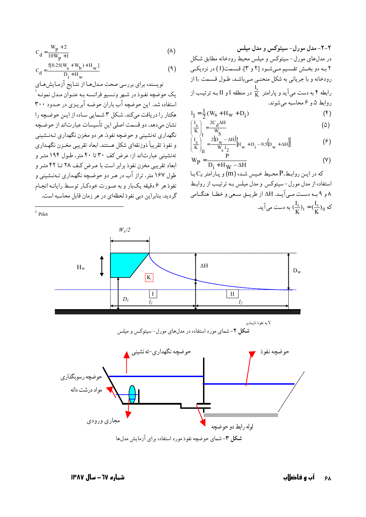$$
C_{d} = \frac{W_{p} + 2}{10W_{p} + 1}
$$
 (A)

$$
C_{d} = \frac{5[0.25(W_{s} + W_{b}) + H_{w}]}{D_{i} + H_{w}}
$$
\n(9)

نویسنده برای بررسی صحت مدلها از نتایج آزمایشهای يک حوضچه نفـوذ در شـهر ونـسيو فرانـسه بـه عنـوان مـدل نمونـه <sup>۱</sup> استفاده شد. این جو ضیعه آب ماران جو ضبه آیریزی در حیدود ۳۰۰ هکتار را دریافت میکند. شکل ۳ شـمایی سـاده از ایـن حوضـچه را نشان می،دهد. دو قسمت اصلی این تأسیسات عبارتاند از حوضیچه نگهداري تهنشيني و حوضچه نفوذ. هر دو مخزن نگهداري تـهنــشيني و نفوذ تقریباً ذوزنقهای شکل هستند. ابعاد تقریبی مخـزن نگهـداری تهنشینی عبارتاند از: عرض کف ۳۰ تا ۴۰ متر، طـول ۱۹۴ متـر و ابعاد تقریبی مخزن نفوذ برابر است با عـرض کـف ٢٨ تـا ۴٢ متـر و طول ۱۶۷ متر. تراز آب در هـر دو حوضـچه نگهـداري تـهنـشيني و نفوذ هر ۶ دقیقه یکبار و به صورت خودکار توسط رایانـه انجـام گرديد. بنابراين دبي نفوذ لحظهاي در هر زمان قابل محاسبه است.

 $1$  Pilot

۲-۲-مدل مورل-سیتوکس و مدل میلس در مدلهای مورل- سیتوکس و میلس محیط رودخانه مطابق شکل ۲ بـه دو بخـش تقـسیم مـیشـود [۲ و ۳]. قـسمت(I) در نزدیکـی رودخانه و با جریانی به شکل منحنبی مبی باشد. طـول قـسمت 1<sub>1 از</sub> رابطه ۴ به دست میآید و پارامتر  $\frac{I_{\rm s}}{\rm K}$  در منطقه I و II بـه ترتیـب از روابط ۵ و ۶ محاسبه می شوند.

$$
l_1 = \frac{1}{2}(W_S + H_W + D_i)
$$
 (f)

$$
\left(\frac{I_s}{K}\right)_I = \frac{2C_d \Delta H}{W_S} \tag{0}
$$

$$
\left(\frac{I_s}{K}\right)_H^2 = \frac{2(D_w - \Delta H)}{W_s \cdot I_2} [H_w + D_i - 0.5(D_w + \Delta H)]
$$
 (9)

$$
W_{P} = \frac{P}{D_i + H_W - \Delta H}
$$
 (Y)

که در این روابط،P محیط خیس شده (m) و پارامتر  $\mathrm{C}_\mathrm{d}$  با استفاده از مدل مورل-سیتوکس و مدل میلس بـه ترتیب از روابـط ۸ و ۹ بـه دسـت مـي آيـد. AH از طريــق سـعي و خطـا هنگـامي که  $(\frac{I_s}{K})_I = (\frac{I_s}{K})_I$ به دست می آید.



شکل ۳-شمای حوضچه نفوذ مورد استفاده برای آزمایش مدلها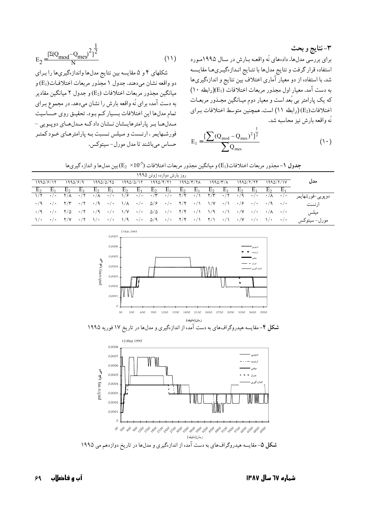۳-نتايج و بحث برای بررسی مدلها، دادههای نُه واقعـه بـارش در سـال ۱۹۹۵مـورد استفاده قرار گرفت و نتايج مدلها با نتـايج انـدازهگيـريهـا مقايـسه شد. با استفاده از دو معیار آماری اختلاف بین نتایج و اندازهگیریها به دست آمد. معیار اول مجذور مربعات اختلافات (E1)(رابطه ۱۰) که یک پارامتر بی بُعد است و معیار دوم میـانگین مجـذور مربعـات اختلافات(E2) (رابطه ١١) است. همچنین متوسط اختلافات برای نُه واقعه بارش نيز محاسبه شد.

$$
E_1 = \frac{\left[\sum (Q_{\text{mod}} - Q_{\text{mes}})^2\right]^{\frac{1}{2}}}{\sum Q_{\text{mes}}}
$$
 (1)

$$
E_2 = \frac{[\Sigma(Q_{\text{mod}} - Q_{\text{mes}})^2]^{\frac{1}{2}}}{N} \tag{11}
$$

شکلهای ۴ و ۵ مقایسه بین نتایج مدلها واندازهگیریها را برای دو واقعه نشان مي دهند. جدول ١ مجذور مربعات اختلافـات(E1) و میانگین مجذور مربعات اختلافات (E<sub>2</sub>) و جدول ۲ میانگین مقادیر به دست آمده برای نُه واقعه بارش را نشان میدهد. در مجموع بـرای تمام مدلها این اختلافات بسیار کم بود. تحقیق روی حساسیت مـدلهـا بـر پارامترهايــشان نــشان دادكـه مـدلهـاي دويـويي – فورشـهايمر ، ارنـست و مـيلس نـسبت بـه پارامترهـاي خـود كمتـر حساس مي باشند تا مدل مو رل – سيتوكس.

|  |  |  |  |  |  |  |  | جدول ۱- مجذور مربعات اختلافات(Eı) و میانگین مجذور مربعات اختلافات (k = 2 (2 ) بین مدلها و اندازه گیریه |  |  |
|--|--|--|--|--|--|--|--|--------------------------------------------------------------------------------------------------------|--|--|
|--|--|--|--|--|--|--|--|--------------------------------------------------------------------------------------------------------|--|--|

| روز بارش دوازده ژوئن ۱۹۹۵ |  |          |       |  |           |  |  |  |  |                                                                                                                                                                                                                                                                                                                                                                                                                                                                         |  |  |  |                  |
|---------------------------|--|----------|-------|--|-----------|--|--|--|--|-------------------------------------------------------------------------------------------------------------------------------------------------------------------------------------------------------------------------------------------------------------------------------------------------------------------------------------------------------------------------------------------------------------------------------------------------------------------------|--|--|--|------------------|
| 1990/8/12                 |  | 1990/F/9 |       |  | 1990/0/70 |  |  |  |  |                                                                                                                                                                                                                                                                                                                                                                                                                                                                         |  |  |  | مدل              |
| $E_2$                     |  | $E_2$    | $E_1$ |  |           |  |  |  |  | $E_2$ $E_1$ $E_2$ $E_1$ $E_2$ $E_1$ $E_2$ $E_1$ $E_2$ $E_1$ $E_2$ $E_1$ $E_2$ $E_1$                                                                                                                                                                                                                                                                                                                                                                                     |  |  |  |                  |
|                           |  |          |       |  |           |  |  |  |  | $\frac{1}{1} \left( \frac{1}{1} \right)^2 \left( \frac{1}{1} \right)^2 \left( \frac{1}{1} \right)^2 \left( \frac{1}{1} \right)^2 \left( \frac{1}{1} \right)^2 \left( \frac{1}{1} \right)^2 \left( \frac{1}{1} \right)^2 \left( \frac{1}{1} \right)^2 \left( \frac{1}{1} \right)^2 \left( \frac{1}{1} \right)^2 \left( \frac{1}{1} \right)^2 \left( \frac{1}{1} \right)^2 \left( \frac{1}{1} \right)^2 \left( \frac{1}{1} \right)^2 \left( \frac{1}{1} \right)^2 \left($ |  |  |  | دوپویي-فورشهايمر |
|                           |  |          |       |  |           |  |  |  |  | $\cdot$ /9 $\cdot$ /· $\cdot$ /۳ $\cdot$ /9 $\cdot$ /9 $\cdot$ /· $\cdot$ /A $\cdot$ /· ۵/۶ $\cdot$ /· ۲/۴ $\cdot$ /۱ $\cdot$ /۷ $\cdot$ /۱ $\cdot$ /۶ $\cdot$ /· $\cdot$ /9 $\cdot$ /·                                                                                                                                                                                                                                                                                 |  |  |  | ا, نست           |
|                           |  |          |       |  |           |  |  |  |  | $\cdot$ /9 $\cdot$ /0 $\cdot$ /0 $\cdot$ /7 $\cdot$ /9 $\cdot$ / $\cdot$ $\cdot$ / $\vee$ $\cdot$ / $\cdot$ $\triangle$ / $\circ$ $\wedge$ $\cdot$ $\vee$ $\cdot$ $\wedge$ $\cdot$ $\wedge$ $\cdot$ $\vee$ $\cdot$ $\wedge$ $\cdot$ $\cdot$ $\wedge$ $\cdot$ $\wedge$ $\cdot$ $\wedge$ $\cdot$ $\wedge$ $\cdot$ $\wedge$ $\cdot$ $\wedge$ $\cdot$ $\wedge$ $\$                                                                                                          |  |  |  | ميلس             |
|                           |  |          |       |  |           |  |  |  |  | $\gamma/\gamma$ $\gamma/\gamma$ $\gamma/\gamma$ $\gamma/\gamma$ $\gamma/\gamma$ $\gamma/\gamma$ $\gamma/\gamma$ $\gamma/\gamma$ $\gamma/\gamma$ $\gamma/\gamma$ $\gamma/\gamma$ $\gamma/\gamma$ $\gamma/\gamma$ $\gamma/\gamma$ $\gamma/\gamma$ $\gamma/\gamma$ $\gamma/\gamma$ $\gamma/\gamma$                                                                                                                                                                         |  |  |  | مورل-سيتوكس      |



شکل ۴-مقایسه هیدروگرافهای به دست آمده از اندازهگیری و مدلها در تاریخ ۱۷ فوریه ۱۹۹۵



شکل ۵- مقایسه هیدروگرافهای به دست آمده از اندازهگیری و مدلها در تاریخ دوازدهم می ۱۹۹۵